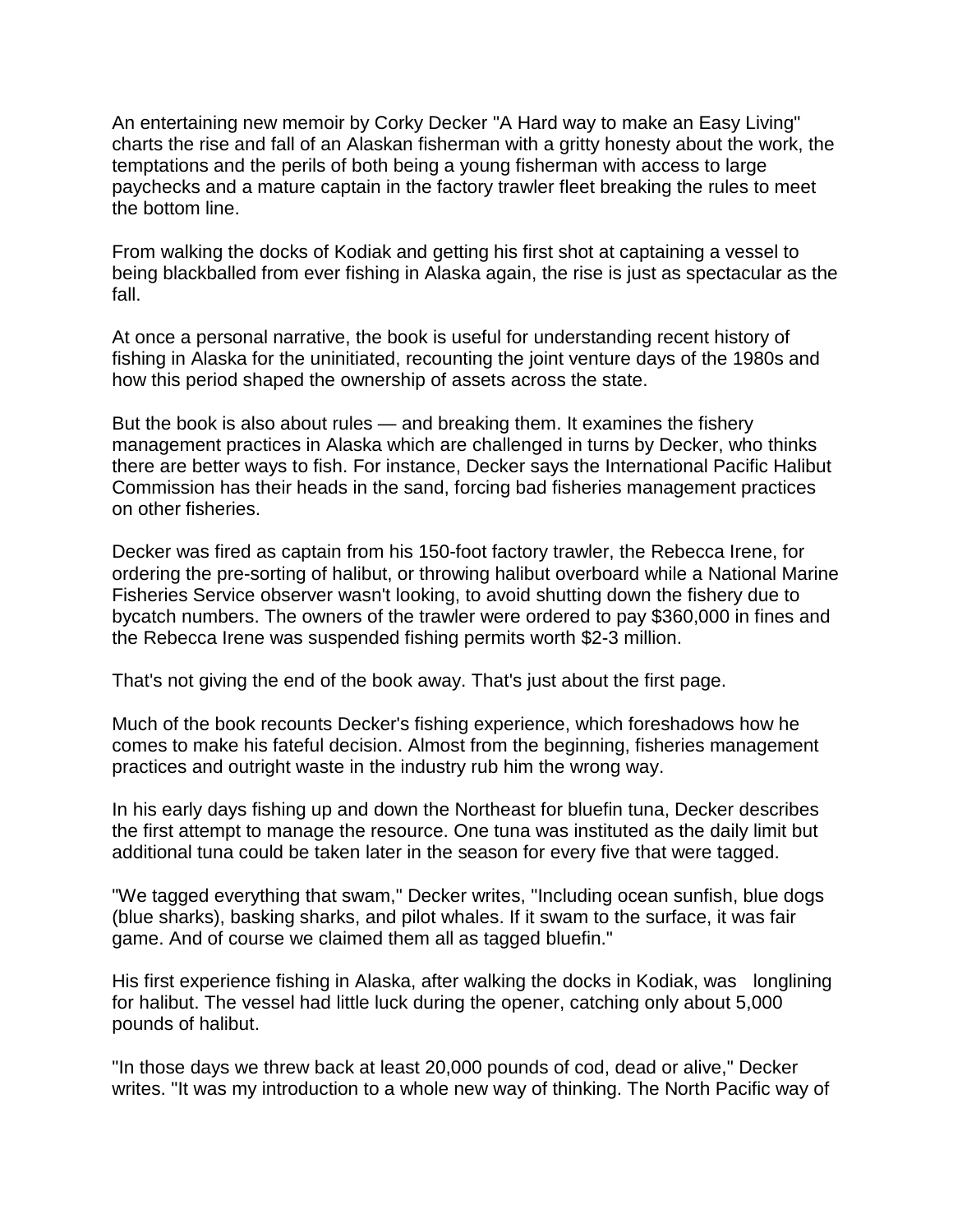An entertaining new memoir by Corky Decker "A Hard way to make an Easy Living" charts the rise and fall of an Alaskan fisherman with a gritty honesty about the work, the temptations and the perils of both being a young fisherman with access to large paychecks and a mature captain in the factory trawler fleet breaking the rules to meet the bottom line.

From walking the docks of Kodiak and getting his first shot at captaining a vessel to being blackballed from ever fishing in Alaska again, the rise is just as spectacular as the fall.

At once a personal narrative, the book is useful for understanding recent history of fishing in Alaska for the uninitiated, recounting the joint venture days of the 1980s and how this period shaped the ownership of assets across the state.

But the book is also about rules — and breaking them. It examines the fishery management practices in Alaska which are challenged in turns by Decker, who thinks there are better ways to fish. For instance, Decker says the International Pacific Halibut Commission has their heads in the sand, forcing bad fisheries management practices on other fisheries.

Decker was fired as captain from his 150-foot factory trawler, the Rebecca Irene, for ordering the pre-sorting of halibut, or throwing halibut overboard while a National Marine Fisheries Service observer wasn't looking, to avoid shutting down the fishery due to bycatch numbers. The owners of the trawler were ordered to pay \$360,000 in fines and the Rebecca Irene was suspended fishing permits worth \$2-3 million.

That's not giving the end of the book away. That's just about the first page.

Much of the book recounts Decker's fishing experience, which foreshadows how he comes to make his fateful decision. Almost from the beginning, fisheries management practices and outright waste in the industry rub him the wrong way.

In his early days fishing up and down the Northeast for bluefin tuna, Decker describes the first attempt to manage the resource. One tuna was instituted as the daily limit but additional tuna could be taken later in the season for every five that were tagged.

"We tagged everything that swam," Decker writes, "Including ocean sunfish, blue dogs (blue sharks), basking sharks, and pilot whales. If it swam to the surface, it was fair game. And of course we claimed them all as tagged bluefin."

His first experience fishing in Alaska, after walking the docks in Kodiak, was longlining for halibut. The vessel had little luck during the opener, catching only about 5,000 pounds of halibut.

"In those days we threw back at least 20,000 pounds of cod, dead or alive," Decker writes. "It was my introduction to a whole new way of thinking. The North Pacific way of